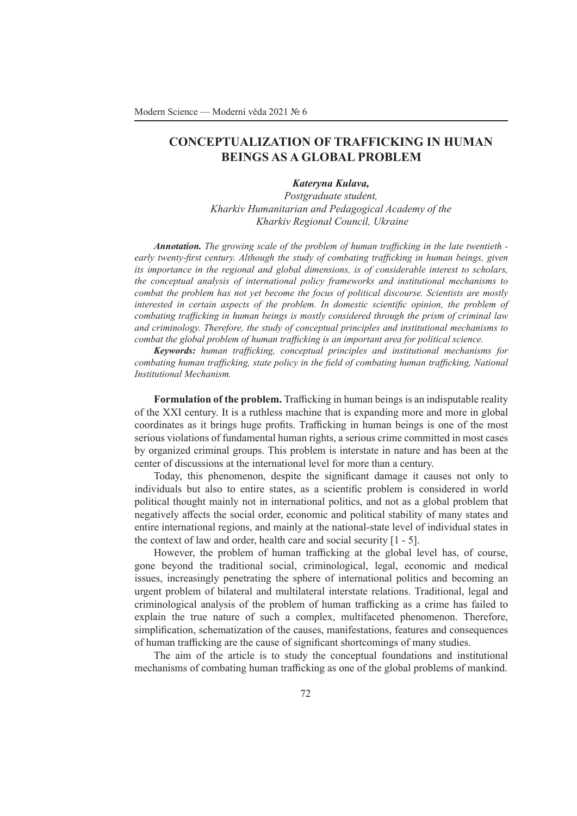## **CONCEPTUALIZATION OF TRAFFICKING IN HUMAN BEINGS AS A GLOBAL PROBLEM**

## *Kateryna Kulava,*

*Postgraduate student, Kharkiv Humanitarian and Pedagogical Academy of the Kharkiv Regional Council, Ukraine*

*Annotation. The growing scale of the problem of human trafficking in the late twentieth early twenty-first century. Although the study of combating trafficking in human beings, given its importance in the regional and global dimensions, is of considerable interest to scholars, the conceptual analysis of international policy frameworks and institutional mechanisms to combat the problem has not yet become the focus of political discourse. Scientists are mostly interested in certain aspects of the problem. In domestic scientific opinion, the problem of combating trafficking in human beings is mostly considered through the prism of criminal law and criminology. Therefore, the study of conceptual principles and institutional mechanisms to combat the global problem of human trafficking is an important area for political science.*

*Keywords: human trafficking, conceptual principles and institutional mechanisms for combating human trafficking, state policy in the field of combating human trafficking, National Institutional Mechanism.*

**Formulation of the problem.** Trafficking in human beings is an indisputable reality of the XXI century. It is a ruthless machine that is expanding more and more in global coordinates as it brings huge profits. Trafficking in human beings is one of the most serious violations of fundamental human rights, a serious crime committed in most cases by organized criminal groups. This problem is interstate in nature and has been at the center of discussions at the international level for more than a century.

Today, this phenomenon, despite the significant damage it causes not only to individuals but also to entire states, as a scientific problem is considered in world political thought mainly not in international politics, and not as a global problem that negatively affects the social order, economic and political stability of many states and entire international regions, and mainly at the national-state level of individual states in the context of law and order, health care and social security [1 - 5].

However, the problem of human trafficking at the global level has, of course, gone beyond the traditional social, criminological, legal, economic and medical issues, increasingly penetrating the sphere of international politics and becoming an urgent problem of bilateral and multilateral interstate relations. Traditional, legal and criminological analysis of the problem of human trafficking as a crime has failed to explain the true nature of such a complex, multifaceted phenomenon. Therefore, simplification, schematization of the causes, manifestations, features and consequences of human trafficking are the cause of significant shortcomings of many studies.

The aim of the article is to study the conceptual foundations and institutional mechanisms of combating human trafficking as one of the global problems of mankind.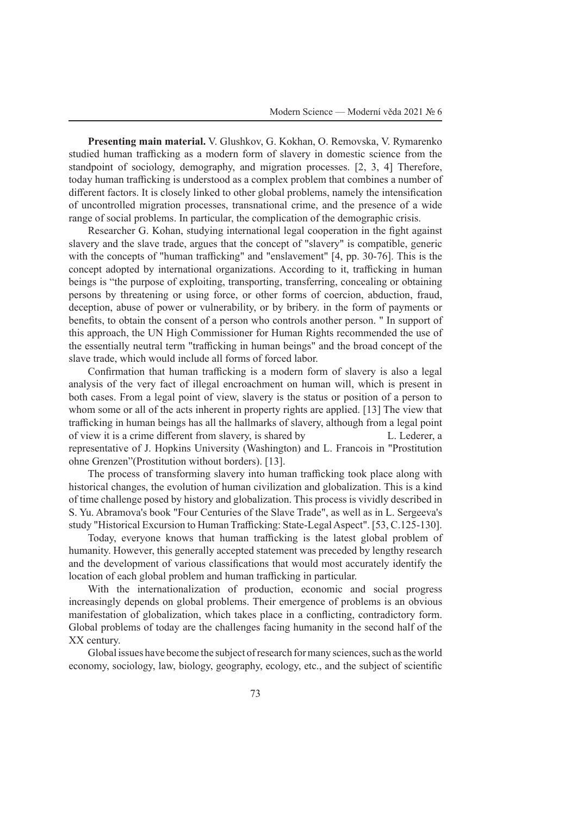**Presenting main material.** V. Glushkov, G. Kokhan, O. Removska, V. Rymarenko studied human trafficking as a modern form of slavery in domestic science from the standpoint of sociology, demography, and migration processes. [2, 3, 4] Therefore, today human trafficking is understood as a complex problem that combines a number of different factors. It is closely linked to other global problems, namely the intensification of uncontrolled migration processes, transnational crime, and the presence of a wide range of social problems. In particular, the complication of the demographic crisis.

Researcher G. Kohan, studying international legal cooperation in the fight against slavery and the slave trade, argues that the concept of "slavery" is compatible, generic with the concepts of "human trafficking" and "enslavement" [4, pp. 30-76]. This is the concept adopted by international organizations. According to it, trafficking in human beings is "the purpose of exploiting, transporting, transferring, concealing or obtaining persons by threatening or using force, or other forms of coercion, abduction, fraud, deception, abuse of power or vulnerability, or by bribery. in the form of payments or benefits, to obtain the consent of a person who controls another person. " In support of this approach, the UN High Commissioner for Human Rights recommended the use of the essentially neutral term "trafficking in human beings" and the broad concept of the slave trade, which would include all forms of forced labor.

Confirmation that human trafficking is a modern form of slavery is also a legal analysis of the very fact of illegal encroachment on human will, which is present in both cases. From a legal point of view, slavery is the status or position of a person to whom some or all of the acts inherent in property rights are applied. [13] The view that trafficking in human beings has all the hallmarks of slavery, although from a legal point of view it is a crime different from slavery, is shared by L. Lederer, a representative of J. Hopkins University (Washington) and L. Francois in "Prostitution ohne Grenzen"(Prostitution without borders). [13].

The process of transforming slavery into human trafficking took place along with historical changes, the evolution of human civilization and globalization. This is a kind of time challenge posed by history and globalization. This process is vividly described in S. Yu. Abramova's book "Four Centuries of the Slave Trade", as well as in L. Sergeeva's study "Historical Excursion to Human Trafficking: State-Legal Aspect". [53, C.125-130].

Today, everyone knows that human trafficking is the latest global problem of humanity. However, this generally accepted statement was preceded by lengthy research and the development of various classifications that would most accurately identify the location of each global problem and human trafficking in particular.

With the internationalization of production, economic and social progress increasingly depends on global problems. Their emergence of problems is an obvious manifestation of globalization, which takes place in a conflicting, contradictory form. Global problems of today are the challenges facing humanity in the second half of the XX century.

Global issues have become the subject of research for many sciences, such as the world economy, sociology, law, biology, geography, ecology, etc., and the subject of scientific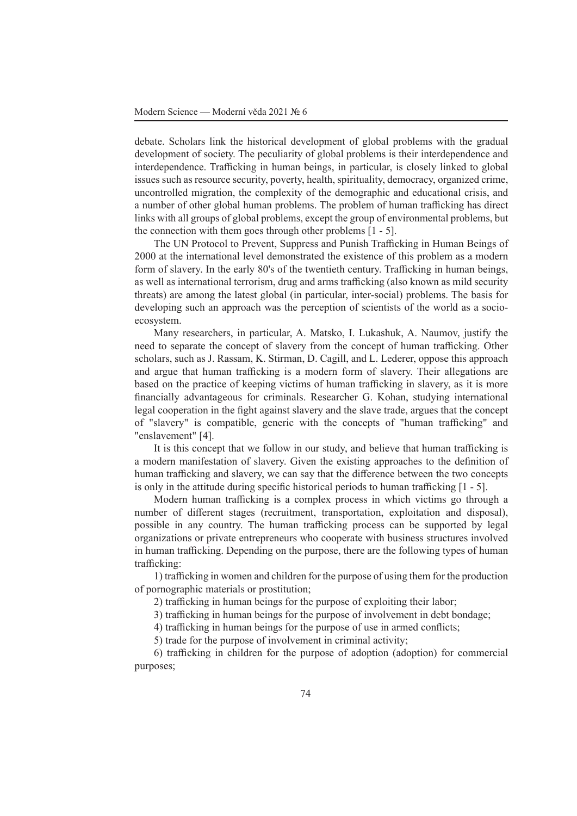debate. Scholars link the historical development of global problems with the gradual development of society. The peculiarity of global problems is their interdependence and interdependence. Trafficking in human beings, in particular, is closely linked to global issues such as resource security, poverty, health, spirituality, democracy, organized crime, uncontrolled migration, the complexity of the demographic and educational crisis, and a number of other global human problems. The problem of human trafficking has direct links with all groups of global problems, except the group of environmental problems, but the connection with them goes through other problems [1 - 5].

The UN Protocol to Prevent, Suppress and Punish Trafficking in Human Beings of 2000 at the international level demonstrated the existence of this problem as a modern form of slavery. In the early 80's of the twentieth century. Trafficking in human beings, as well as international terrorism, drug and arms trafficking (also known as mild security threats) are among the latest global (in particular, inter-social) problems. The basis for developing such an approach was the perception of scientists of the world as a socioecosystem.

Many researchers, in particular, A. Matsko, I. Lukashuk, A. Naumov, justify the need to separate the concept of slavery from the concept of human trafficking. Other scholars, such as J. Rassam, K. Stirman, D. Cagill, and L. Lederer, oppose this approach and argue that human trafficking is a modern form of slavery. Their allegations are based on the practice of keeping victims of human trafficking in slavery, as it is more financially advantageous for criminals. Researcher G. Kohan, studying international legal cooperation in the fight against slavery and the slave trade, argues that the concept of "slavery" is compatible, generic with the concepts of "human trafficking" and "enslavement" [4].

It is this concept that we follow in our study, and believe that human trafficking is a modern manifestation of slavery. Given the existing approaches to the definition of human trafficking and slavery, we can say that the difference between the two concepts is only in the attitude during specific historical periods to human trafficking [1 - 5].

Modern human trafficking is a complex process in which victims go through a number of different stages (recruitment, transportation, exploitation and disposal), possible in any country. The human trafficking process can be supported by legal organizations or private entrepreneurs who cooperate with business structures involved in human trafficking. Depending on the purpose, there are the following types of human trafficking:

1) trafficking in women and children for the purpose of using them for the production of pornographic materials or prostitution;

2) trafficking in human beings for the purpose of exploiting their labor;

3) trafficking in human beings for the purpose of involvement in debt bondage;

4) trafficking in human beings for the purpose of use in armed conflicts;

5) trade for the purpose of involvement in criminal activity;

6) trafficking in children for the purpose of adoption (adoption) for commercial purposes;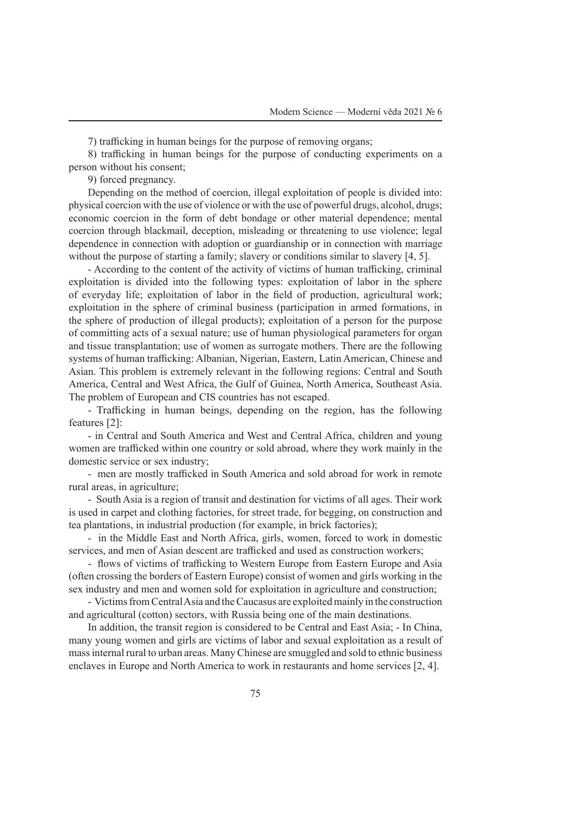7) trafficking in human beings for the purpose of removing organs;

8) trafficking in human beings for the purpose of conducting experiments on a person without his consent;

9) forced pregnancy.

Depending on the method of coercion, illegal exploitation of people is divided into: physical coercion with the use of violence or with the use of powerful drugs, alcohol, drugs; economic coercion in the form of debt bondage or other material dependence; mental coercion through blackmail, deception, misleading or threatening to use violence; legal dependence in connection with adoption or guardianship or in connection with marriage without the purpose of starting a family; slavery or conditions similar to slavery [4, 5].

- According to the content of the activity of victims of human trafficking, criminal exploitation is divided into the following types: exploitation of labor in the sphere of everyday life; exploitation of labor in the field of production, agricultural work; exploitation in the sphere of criminal business (participation in armed formations, in the sphere of production of illegal products); exploitation of a person for the purpose of committing acts of a sexual nature; use of human physiological parameters for organ and tissue transplantation; use of women as surrogate mothers. There are the following systems of human trafficking: Albanian, Nigerian, Eastern, Latin American, Chinese and Asian. This problem is extremely relevant in the following regions: Central and South America, Central and West Africa, the Gulf of Guinea, North America, Southeast Asia. The problem of European and CIS countries has not escaped.

- Trafficking in human beings, depending on the region, has the following features [2]:

- in Central and South America and West and Central Africa, children and young women are trafficked within one country or sold abroad, where they work mainly in the domestic service or sex industry;

- men are mostly trafficked in South America and sold abroad for work in remote rural areas, in agriculture;

- South Asia is a region of transit and destination for victims of all ages. Their work is used in carpet and clothing factories, for street trade, for begging, on construction and tea plantations, in industrial production (for example, in brick factories);

- in the Middle East and North Africa, girls, women, forced to work in domestic services, and men of Asian descent are trafficked and used as construction workers;

- flows of victims of trafficking to Western Europe from Eastern Europe and Asia (often crossing the borders of Eastern Europe) consist of women and girls working in the sex industry and men and women sold for exploitation in agriculture and construction;

- Victims from Central Asia and the Caucasus are exploited mainly in the construction and agricultural (cotton) sectors, with Russia being one of the main destinations.

In addition, the transit region is considered to be Central and East Asia; - In China, many young women and girls are victims of labor and sexual exploitation as a result of mass internal rural to urban areas. Many Chinese are smuggled and sold to ethnic business enclaves in Europe and North America to work in restaurants and home services [2, 4].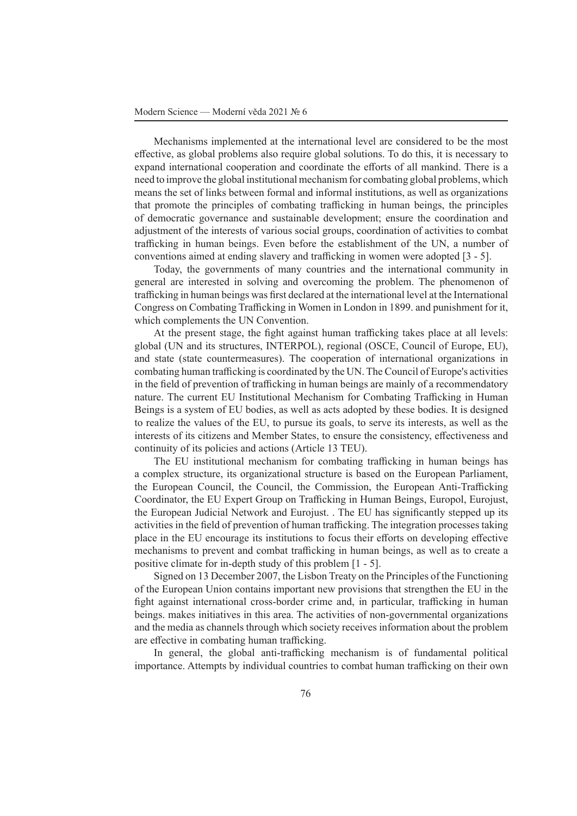Mechanisms implemented at the international level are considered to be the most effective, as global problems also require global solutions. To do this, it is necessary to expand international cooperation and coordinate the efforts of all mankind. There is a need to improve the global institutional mechanism for combating global problems, which means the set of links between formal and informal institutions, as well as organizations that promote the principles of combating trafficking in human beings, the principles of democratic governance and sustainable development; ensure the coordination and adjustment of the interests of various social groups, coordination of activities to combat trafficking in human beings. Even before the establishment of the UN, a number of conventions aimed at ending slavery and trafficking in women were adopted [3 - 5].

Today, the governments of many countries and the international community in general are interested in solving and overcoming the problem. The phenomenon of trafficking in human beings was first declared at the international level at the International Congress on Combating Trafficking in Women in London in 1899. and punishment for it, which complements the UN Convention.

At the present stage, the fight against human trafficking takes place at all levels: global (UN and its structures, INTERPOL), regional (OSCE, Council of Europe, EU), and state (state countermeasures). The cooperation of international organizations in combating human trafficking is coordinated by the UN. The Council of Europe's activities in the field of prevention of trafficking in human beings are mainly of a recommendatory nature. The current EU Institutional Mechanism for Combating Trafficking in Human Beings is a system of EU bodies, as well as acts adopted by these bodies. It is designed to realize the values of the EU, to pursue its goals, to serve its interests, as well as the interests of its citizens and Member States, to ensure the consistency, effectiveness and continuity of its policies and actions (Article 13 TEU).

The EU institutional mechanism for combating trafficking in human beings has a complex structure, its organizational structure is based on the European Parliament, the European Council, the Council, the Commission, the European Anti-Trafficking Coordinator, the EU Expert Group on Trafficking in Human Beings, Europol, Eurojust, the European Judicial Network and Eurojust. . The EU has significantly stepped up its activities in the field of prevention of human trafficking. The integration processes taking place in the EU encourage its institutions to focus their efforts on developing effective mechanisms to prevent and combat trafficking in human beings, as well as to create a positive climate for in-depth study of this problem [1 - 5].

Signed on 13 December 2007, the Lisbon Treaty on the Principles of the Functioning of the European Union contains important new provisions that strengthen the EU in the fight against international cross-border crime and, in particular, trafficking in human beings. makes initiatives in this area. The activities of non-governmental organizations and the media as channels through which society receives information about the problem are effective in combating human trafficking.

In general, the global anti-trafficking mechanism is of fundamental political importance. Attempts by individual countries to combat human trafficking on their own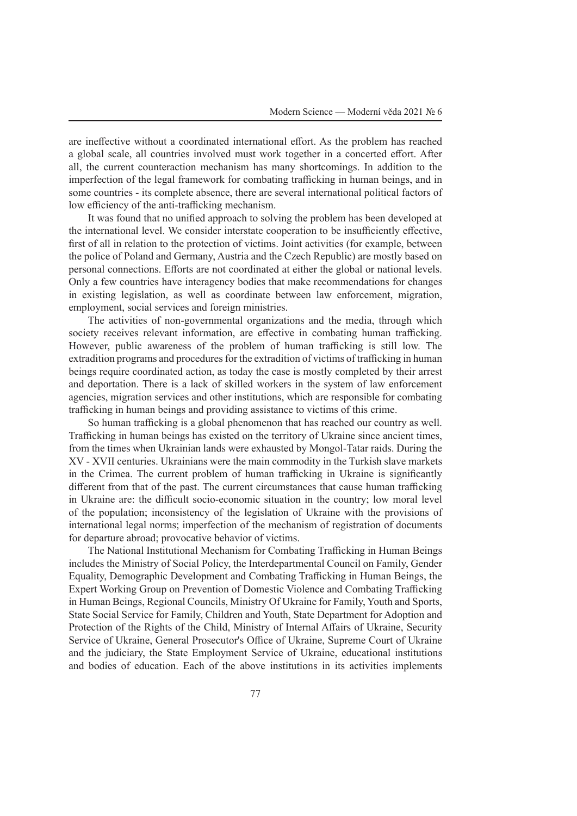are ineffective without a coordinated international effort. As the problem has reached a global scale, all countries involved must work together in a concerted effort. After all, the current counteraction mechanism has many shortcomings. In addition to the imperfection of the legal framework for combating trafficking in human beings, and in some countries - its complete absence, there are several international political factors of low efficiency of the anti-trafficking mechanism.

It was found that no unified approach to solving the problem has been developed at the international level. We consider interstate cooperation to be insufficiently effective, first of all in relation to the protection of victims. Joint activities (for example, between the police of Poland and Germany, Austria and the Czech Republic) are mostly based on personal connections. Efforts are not coordinated at either the global or national levels. Only a few countries have interagency bodies that make recommendations for changes in existing legislation, as well as coordinate between law enforcement, migration, employment, social services and foreign ministries.

The activities of non-governmental organizations and the media, through which society receives relevant information, are effective in combating human trafficking. However, public awareness of the problem of human trafficking is still low. The extradition programs and procedures for the extradition of victims of trafficking in human beings require coordinated action, as today the case is mostly completed by their arrest and deportation. There is a lack of skilled workers in the system of law enforcement agencies, migration services and other institutions, which are responsible for combating trafficking in human beings and providing assistance to victims of this crime.

So human trafficking is a global phenomenon that has reached our country as well. Trafficking in human beings has existed on the territory of Ukraine since ancient times, from the times when Ukrainian lands were exhausted by Mongol-Tatar raids. During the XV - XVII centuries. Ukrainians were the main commodity in the Turkish slave markets in the Crimea. The current problem of human trafficking in Ukraine is significantly different from that of the past. The current circumstances that cause human trafficking in Ukraine are: the difficult socio-economic situation in the country; low moral level of the population; inconsistency of the legislation of Ukraine with the provisions of international legal norms; imperfection of the mechanism of registration of documents for departure abroad; provocative behavior of victims.

The National Institutional Mechanism for Combating Trafficking in Human Beings includes the Ministry of Social Policy, the Interdepartmental Council on Family, Gender Equality, Demographic Development and Combating Trafficking in Human Beings, the Expert Working Group on Prevention of Domestic Violence and Combating Trafficking in Human Beings, Regional Councils, Ministry Of Ukraine for Family, Youth and Sports, State Social Service for Family, Children and Youth, State Department for Adoption and Protection of the Rights of the Child, Ministry of Internal Affairs of Ukraine, Security Service of Ukraine, General Prosecutor's Office of Ukraine, Supreme Court of Ukraine and the judiciary, the State Employment Service of Ukraine, educational institutions and bodies of education. Each of the above institutions in its activities implements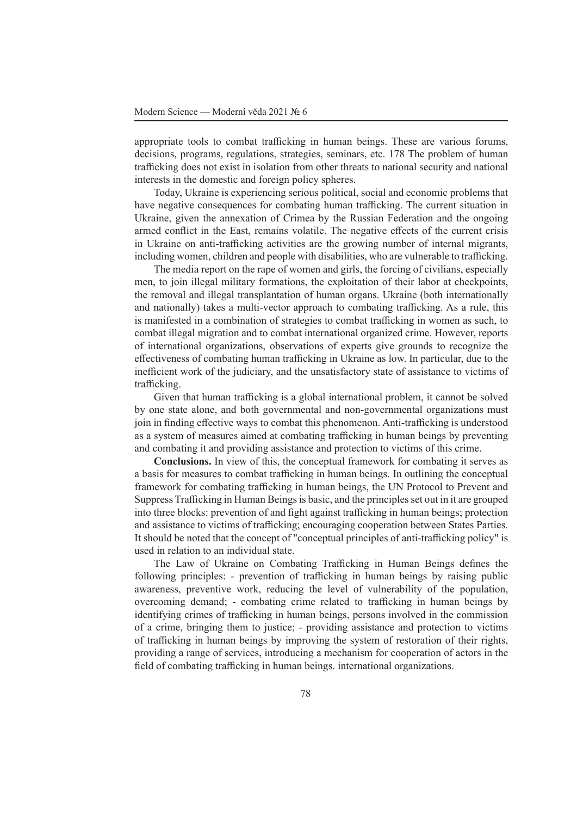appropriate tools to combat trafficking in human beings. These are various forums, decisions, programs, regulations, strategies, seminars, etc. 178 The problem of human trafficking does not exist in isolation from other threats to national security and national interests in the domestic and foreign policy spheres.

Today, Ukraine is experiencing serious political, social and economic problems that have negative consequences for combating human trafficking. The current situation in Ukraine, given the annexation of Crimea by the Russian Federation and the ongoing armed conflict in the East, remains volatile. The negative effects of the current crisis in Ukraine on anti-trafficking activities are the growing number of internal migrants, including women, children and people with disabilities, who are vulnerable to trafficking.

The media report on the rape of women and girls, the forcing of civilians, especially men, to join illegal military formations, the exploitation of their labor at checkpoints, the removal and illegal transplantation of human organs. Ukraine (both internationally and nationally) takes a multi-vector approach to combating trafficking. As a rule, this is manifested in a combination of strategies to combat trafficking in women as such, to combat illegal migration and to combat international organized crime. However, reports of international organizations, observations of experts give grounds to recognize the effectiveness of combating human trafficking in Ukraine as low. In particular, due to the inefficient work of the judiciary, and the unsatisfactory state of assistance to victims of trafficking.

Given that human trafficking is a global international problem, it cannot be solved by one state alone, and both governmental and non-governmental organizations must join in finding effective ways to combat this phenomenon. Anti-trafficking is understood as a system of measures aimed at combating trafficking in human beings by preventing and combating it and providing assistance and protection to victims of this crime.

**Conclusions.** In view of this, the conceptual framework for combating it serves as a basis for measures to combat trafficking in human beings. In outlining the conceptual framework for combating trafficking in human beings, the UN Protocol to Prevent and Suppress Trafficking in Human Beings is basic, and the principles set out in it are grouped into three blocks: prevention of and fight against trafficking in human beings; protection and assistance to victims of trafficking; encouraging cooperation between States Parties. It should be noted that the concept of "conceptual principles of anti-trafficking policy" is used in relation to an individual state.

The Law of Ukraine on Combating Trafficking in Human Beings defines the following principles: - prevention of trafficking in human beings by raising public awareness, preventive work, reducing the level of vulnerability of the population, overcoming demand; - combating crime related to trafficking in human beings by identifying crimes of trafficking in human beings, persons involved in the commission of a crime, bringing them to justice; - providing assistance and protection to victims of trafficking in human beings by improving the system of restoration of their rights, providing a range of services, introducing a mechanism for cooperation of actors in the field of combating trafficking in human beings. international organizations.